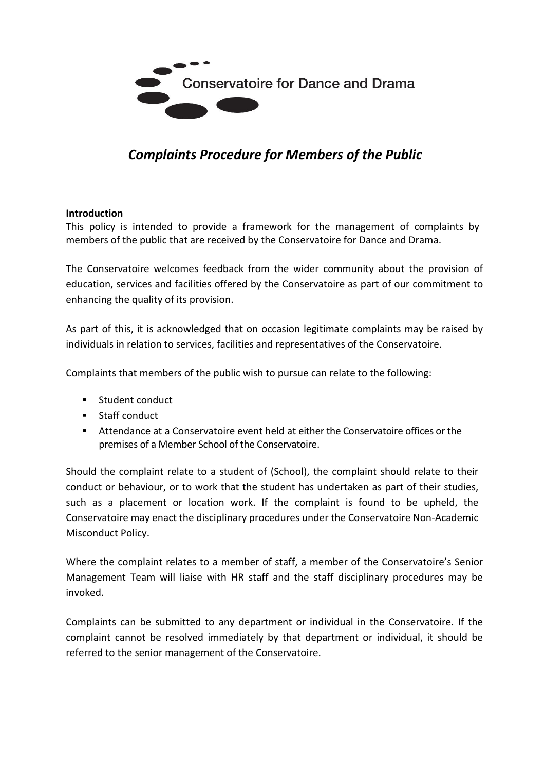

# *Complaints Procedure for Members of the Public*

#### **Introduction**

This policy is intended to provide a framework for the management of complaints by members of the public that are received by the Conservatoire for Dance and Drama.

The Conservatoire welcomes feedback from the wider community about the provision of education, services and facilities offered by the Conservatoire as part of our commitment to enhancing the quality of its provision.

As part of this, it is acknowledged that on occasion legitimate complaints may be raised by individuals in relation to services, facilities and representatives of the Conservatoire.

Complaints that members of the public wish to pursue can relate to the following:

- **Student conduct**
- **Staff conduct**
- Attendance at a Conservatoire event held at either the Conservatoire offices or the premises of a Member School of the Conservatoire.

Should the complaint relate to a student of (School), the complaint should relate to their conduct or behaviour, or to work that the student has undertaken as part of their studies, such as a placement or location work. If the complaint is found to be upheld, the Conservatoire may enact the disciplinary procedures under the Conservatoire Non-Academic Misconduct Policy.

Where the complaint relates to a member of staff, a member of the Conservatoire's Senior Management Team will liaise with HR staff and the staff disciplinary procedures may be invoked.

Complaints can be submitted to any department or individual in the Conservatoire. If the complaint cannot be resolved immediately by that department or individual, it should be referred to the senior management of the Conservatoire.